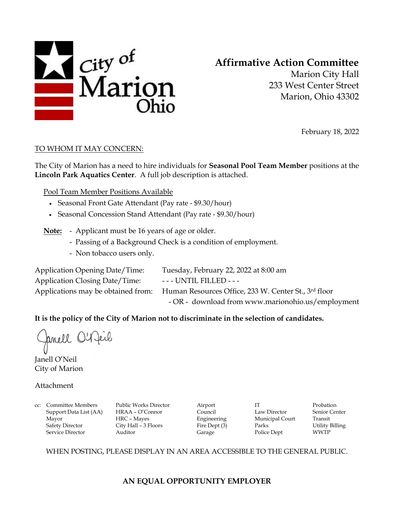

# **Affirmative Action Committee**

Marion City Hall 233 West Center Street Marion, Ohio 43302

February 18, 2022

### TO WHOM IT MAY CONCERN:

The City of Marion has a need to hire individuals for **Seasonal Pool Team Member** positions at the **Lincoln Park Aquatics Center**. A full job description is attached.

Pool Team Member Positions Available

- Seasonal Front Gate Attendant (Pay rate \$9.30/hour)
- Seasonal Concession Stand Attendant (Pay rate \$9.30/hour)
- **Note:** Applicant must be 16 years of age or older.
	- Passing of a Background Check is a condition of employment.
	- Non tobacco users only.

Application Closing Date/Time: --- UNTIL FILLED ---

Application Opening Date/Time: Tuesday, February 22, 2022 at 8:00 am Applications may be obtained from: Human Resources Office, 233 W. Center St., 3rd floor - OR - download from www.marionohio.us/employment

## **It is the policy of the City of Marion not to discriminate in the selection of candidates.**

Jamell O'Reil

Janell O'Neil City of Marion

Attachment

cc: Committee Members Public Works Director Airport IT Probation Support Data List (AA) HRAA – O'Connor Council Law Director Senior Center Mayor HRC – Mayes Engineering Municipal Court Transit Safety Director City Hall – 3 Floors Fire Dept (3) Parks Utility Billing Service Director **Auditor** Auditor Garage Police Dept WWTP

WHEN POSTING, PLEASE DISPLAY IN AN AREA ACCESSIBLE TO THE GENERAL PUBLIC.

# **AN EQUAL OPPORTUNITY EMPLOYER**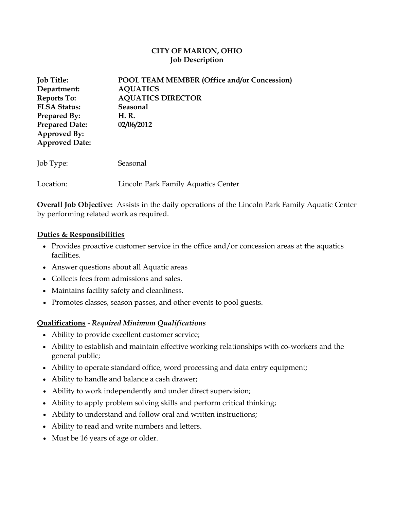## **CITY OF MARION, OHIO Job Description**

| <b>Job Title:</b><br>Department:<br><b>Reports To:</b><br><b>FLSA Status:</b><br><b>Prepared By:</b><br><b>Prepared Date:</b><br>Approved By:<br><b>Approved Date:</b> | <b>POOL TEAM MEMBER (Office and/or Concession)</b><br><b>AQUATICS</b><br><b>AQUATICS DIRECTOR</b><br>Seasonal<br>H. R.<br>02/06/2012 |
|------------------------------------------------------------------------------------------------------------------------------------------------------------------------|--------------------------------------------------------------------------------------------------------------------------------------|
| Job Type:                                                                                                                                                              | Seasonal                                                                                                                             |
| Location:                                                                                                                                                              | Lincoln Park Family Aquatics Center                                                                                                  |

**Overall Job Objective:** Assists in the daily operations of the Lincoln Park Family Aquatic Center by performing related work as required.

### **Duties & Responsibilities**

- Provides proactive customer service in the office and/or concession areas at the aquatics facilities.
- Answer questions about all Aquatic areas
- Collects fees from admissions and sales.
- Maintains facility safety and cleanliness.
- Promotes classes, season passes, and other events to pool guests.

## **Qualifications** - *Required Minimum Qualifications*

- Ability to provide excellent customer service;
- Ability to establish and maintain effective working relationships with co-workers and the general public;
- Ability to operate standard office, word processing and data entry equipment;
- Ability to handle and balance a cash drawer;
- Ability to work independently and under direct supervision;
- Ability to apply problem solving skills and perform critical thinking;
- Ability to understand and follow oral and written instructions;
- Ability to read and write numbers and letters.
- Must be 16 years of age or older.